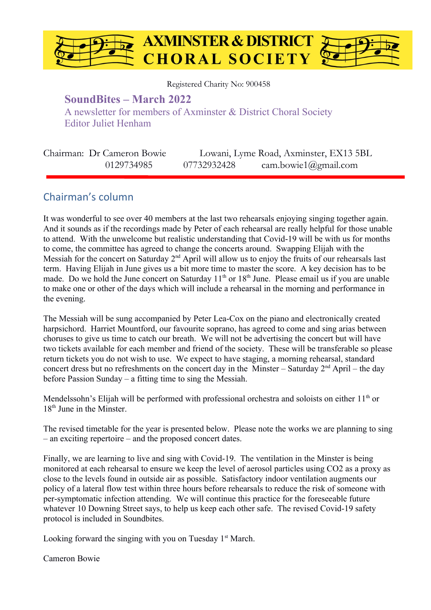

Registered Charity No: 900458

### **SoundBites – March 2022**

A newsletter for members of Axminster & District Choral Society Editor Juliet Henham

| Chairman: Dr Cameron Bowie |             | Lowani, Lyme Road, Axminster, EX13 5BL |
|----------------------------|-------------|----------------------------------------|
| 0129734985                 | 07732932428 | cam.bowie1@gmail.com                   |

### Chairman's column

It was wonderful to see over 40 members at the last two rehearsals enjoying singing together again. And it sounds as if the recordings made by Peter of each rehearsal are really helpful for those unable to attend. With the unwelcome but realistic understanding that Covid-19 will be with us for months to come, the committee has agreed to change the concerts around. Swapping Elijah with the Messiah for the concert on Saturday  $2<sup>nd</sup>$  April will allow us to enjoy the fruits of our rehearsals last term. Having Elijah in June gives us a bit more time to master the score. A key decision has to be made. Do we hold the June concert on Saturday 11<sup>th</sup> or 18<sup>th</sup> June. Please email us if you are unable to make one or other of the days which will include a rehearsal in the morning and performance in the evening.

The Messiah will be sung accompanied by Peter Lea-Cox on the piano and electronically created harpsichord. Harriet Mountford, our favourite soprano, has agreed to come and sing arias between choruses to give us time to catch our breath. We will not be advertising the concert but will have two tickets available for each member and friend of the society. These will be transferable so please return tickets you do not wish to use. We expect to have staging, a morning rehearsal, standard concert dress but no refreshments on the concert day in the Minster – Saturday  $2<sup>nd</sup>$  April – the day before Passion Sunday – a fitting time to sing the Messiah.

Mendelssohn's Elijah will be performed with professional orchestra and soloists on either 11<sup>th</sup> or  $18<sup>th</sup>$  June in the Minster.

The revised timetable for the year is presented below. Please note the works we are planning to sing – an exciting repertoire – and the proposed concert dates.

Finally, we are learning to live and sing with Covid-19. The ventilation in the Minster is being monitored at each rehearsal to ensure we keep the level of aerosol particles using CO2 as a proxy as close to the levels found in outside air as possible. Satisfactory indoor ventilation augments our policy of a lateral flow test within three hours before rehearsals to reduce the risk of someone with per-symptomatic infection attending. We will continue this practice for the foreseeable future whatever 10 Downing Street says, to help us keep each other safe. The revised Covid-19 safety protocol is included in Soundbites.

Looking forward the singing with you on Tuesday  $1<sup>st</sup>$  March.

Cameron Bowie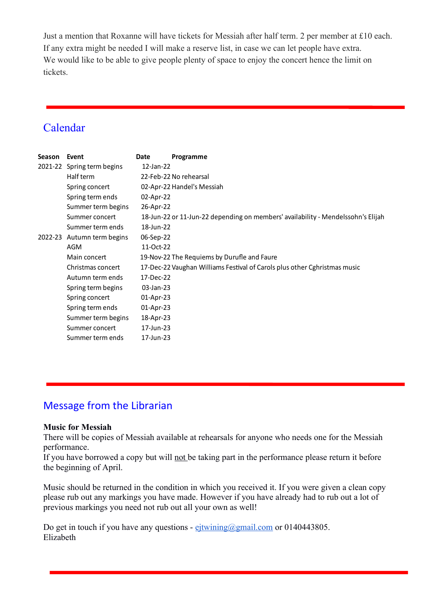Just a mention that Roxanne will have tickets for Messiah after half term. 2 per member at £10 each. If any extra might be needed I will make a reserve list, in case we can let people have extra. We would like to be able to give people plenty of space to enjoy the concert hence the limit on tickets.

## Calendar

| <b>Season</b> | Event                      | <b>Date</b>  | Programme                                                                        |
|---------------|----------------------------|--------------|----------------------------------------------------------------------------------|
|               | 2021-22 Spring term begins | 12-Jan-22    |                                                                                  |
|               | Half term                  |              | 22-Feb-22 No rehearsal                                                           |
|               | Spring concert             |              | 02-Apr-22 Handel's Messiah                                                       |
|               | Spring term ends           | 02-Apr-22    |                                                                                  |
|               | Summer term begins         | 26-Apr-22    |                                                                                  |
|               | Summer concert             |              | 18-Jun-22 or 11-Jun-22 depending on members' availability - Mendelssohn's Elijah |
|               | Summer term ends           | 18-Jun-22    |                                                                                  |
|               | 2022-23 Autumn term begins | 06-Sep-22    |                                                                                  |
|               | <b>AGM</b>                 | 11-Oct-22    |                                                                                  |
|               | Main concert               |              | 19-Nov-22 The Requiems by Durufle and Faure                                      |
|               | Christmas concert          |              | 17-Dec-22 Vaughan Williams Festival of Carols plus other Cghristmas music        |
|               | Autumn term ends           | 17-Dec-22    |                                                                                  |
|               | Spring term begins         | 03-Jan-23    |                                                                                  |
|               | Spring concert             | $01$ -Apr-23 |                                                                                  |
|               | Spring term ends           | $01$ -Apr-23 |                                                                                  |
|               | Summer term begins         | 18-Apr-23    |                                                                                  |
|               | Summer concert             | 17-Jun-23    |                                                                                  |
|               | Summer term ends           | 17-Jun-23    |                                                                                  |
|               |                            |              |                                                                                  |

### Message from the Librarian

#### **Music for Messiah**

There will be copies of Messiah available at rehearsals for anyone who needs one for the Messiah performance.

If you have borrowed a copy but will not be taking part in the performance please return it before the beginning of April.

Music should be returned in the condition in which you received it. If you were given a clean copy please rub out any markings you have made. However if you have already had to rub out a lot of previous markings you need not rub out all your own as well!

Do get in touch if you have any questions -  $e$ jtwining@gmail.com or 0140443805. Elizabeth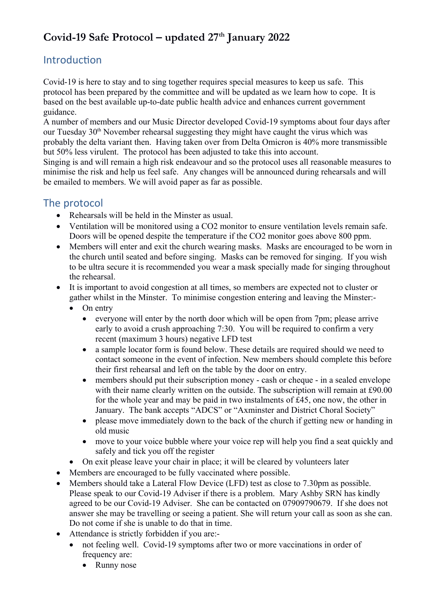# **Covid-19 Safe Protocol – updated 27th January 2022**

### Introduction

Covid-19 is here to stay and to sing together requires special measures to keep us safe. This protocol has been prepared by the committee and will be updated as we learn how to cope. It is based on the best available up-to-date public health advice and enhances current government guidance.

A number of members and our Music Director developed Covid-19 symptoms about four days after our Tuesday 30<sup>th</sup> November rehearsal suggesting they might have caught the virus which was probably the delta variant then. Having taken over from Delta Omicron is 40% more transmissible but 50% less virulent. The protocol has been adjusted to take this into account.

Singing is and will remain a high risk endeavour and so the protocol uses all reasonable measures to minimise the risk and help us feel safe. Any changes will be announced during rehearsals and will be emailed to members. We will avoid paper as far as possible.

### The protocol

- Rehearsals will be held in the Minster as usual.
- Ventilation will be monitored using a CO2 monitor to ensure ventilation levels remain safe. Doors will be opened despite the temperature if the CO2 monitor goes above 800 ppm.
- Members will enter and exit the church wearing masks. Masks are encouraged to be worn in the church until seated and before singing. Masks can be removed for singing. If you wish to be ultra secure it is recommended you wear a mask specially made for singing throughout the rehearsal.
- It is important to avoid congestion at all times, so members are expected not to cluster or gather whilst in the Minster. To minimise congestion entering and leaving the Minster:-
	- On entry
		- everyone will enter by the north door which will be open from 7pm; please arrive early to avoid a crush approaching 7:30. You will be required to confirm a very recent (maximum 3 hours) negative LFD test
		- a sample locator form is found below. These details are required should we need to contact someone in the event of infection. New members should complete this before their first rehearsal and left on the table by the door on entry.
		- members should put their subscription money cash or cheque in a sealed envelope with their name clearly written on the outside. The subscription will remain at £90.00 for the whole year and may be paid in two instalments of £45, one now, the other in January. The bank accepts "ADCS" or "Axminster and District Choral Society"
		- please move immediately down to the back of the church if getting new or handing in old music
		- move to your voice bubble where your voice rep will help you find a seat quickly and safely and tick you off the register
	- On exit please leave your chair in place; it will be cleared by volunteers later
- Members are encouraged to be fully vaccinated where possible.
- Members should take a Lateral Flow Device (LFD) test as close to 7.30pm as possible. Please speak to our Covid-19 Adviser if there is a problem. Mary Ashby SRN has kindly agreed to be our Covid-19 Adviser. She can be contacted on 07909790679. If she does not answer she may be travelling or seeing a patient. She will return your call as soon as she can. Do not come if she is unable to do that in time.
- Attendance is strictly forbidden if you are:
	- not feeling well. Covid-19 symptoms after two or more vaccinations in order of frequency are:
		- Runny nose